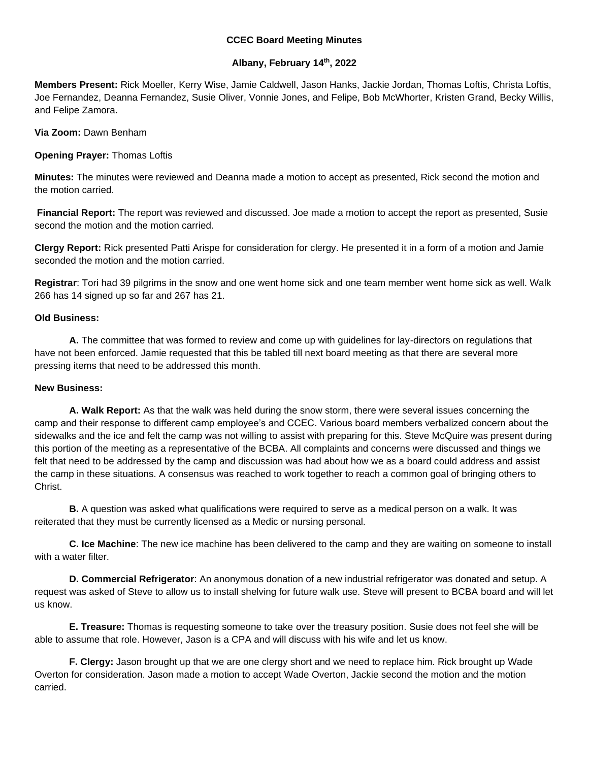## **CCEC Board Meeting Minutes**

## **Albany, February 14th, 2022**

**Members Present:** Rick Moeller, Kerry Wise, Jamie Caldwell, Jason Hanks, Jackie Jordan, Thomas Loftis, Christa Loftis, Joe Fernandez, Deanna Fernandez, Susie Oliver, Vonnie Jones, and Felipe, Bob McWhorter, Kristen Grand, Becky Willis, and Felipe Zamora.

**Via Zoom:** Dawn Benham

**Opening Prayer:** Thomas Loftis

**Minutes:** The minutes were reviewed and Deanna made a motion to accept as presented, Rick second the motion and the motion carried.

**Financial Report:** The report was reviewed and discussed. Joe made a motion to accept the report as presented, Susie second the motion and the motion carried.

**Clergy Report:** Rick presented Patti Arispe for consideration for clergy. He presented it in a form of a motion and Jamie seconded the motion and the motion carried.

**Registrar**: Tori had 39 pilgrims in the snow and one went home sick and one team member went home sick as well. Walk 266 has 14 signed up so far and 267 has 21.

## **Old Business:**

**A.** The committee that was formed to review and come up with guidelines for lay-directors on regulations that have not been enforced. Jamie requested that this be tabled till next board meeting as that there are several more pressing items that need to be addressed this month.

## **New Business:**

**A. Walk Report:** As that the walk was held during the snow storm, there were several issues concerning the camp and their response to different camp employee's and CCEC. Various board members verbalized concern about the sidewalks and the ice and felt the camp was not willing to assist with preparing for this. Steve McQuire was present during this portion of the meeting as a representative of the BCBA. All complaints and concerns were discussed and things we felt that need to be addressed by the camp and discussion was had about how we as a board could address and assist the camp in these situations. A consensus was reached to work together to reach a common goal of bringing others to Christ.

**B.** A question was asked what qualifications were required to serve as a medical person on a walk. It was reiterated that they must be currently licensed as a Medic or nursing personal.

**C. Ice Machine**: The new ice machine has been delivered to the camp and they are waiting on someone to install with a water filter.

**D. Commercial Refrigerator**: An anonymous donation of a new industrial refrigerator was donated and setup. A request was asked of Steve to allow us to install shelving for future walk use. Steve will present to BCBA board and will let us know.

**E. Treasure:** Thomas is requesting someone to take over the treasury position. Susie does not feel she will be able to assume that role. However, Jason is a CPA and will discuss with his wife and let us know.

**F. Clergy:** Jason brought up that we are one clergy short and we need to replace him. Rick brought up Wade Overton for consideration. Jason made a motion to accept Wade Overton, Jackie second the motion and the motion carried.